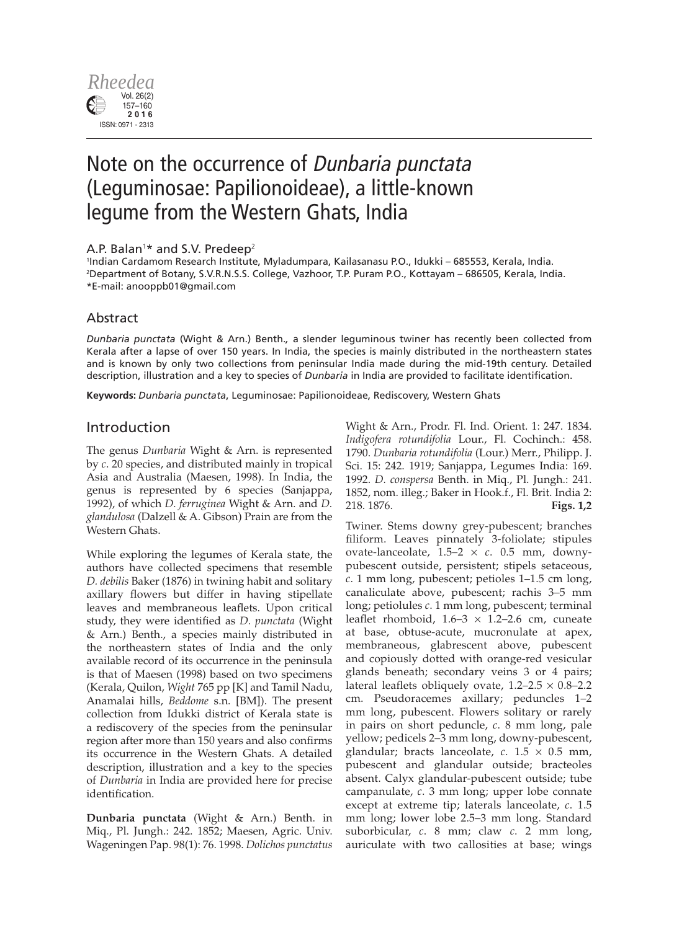

# Note on the occurrence of Dunbaria punctata (Leguminosae: Papilionoideae), a little-known legume from the Western Ghats, India

## A.P. Balan<sup>1\*</sup> and S.V. Predeep<sup>2</sup>

1 Indian Cardamom Research Institute, Myladumpara, Kailasanasu P.O., Idukki – 685553, Kerala, India. 2 Department of Botany, S.V.R.N.S.S. College, Vazhoor, T.P. Puram P.O., Kottayam – 686505, Kerala, India. \*E-mail: anooppb01@gmail.com

# Abstract

*Dunbaria punctata* (Wight & Arn.) Benth.*,* a slender leguminous twiner has recently been collected from Kerala after a lapse of over 150 years. In India, the species is mainly distributed in the northeastern states and is known by only two collections from peninsular India made during the mid-19th century. Detailed description, illustration and a key to species of *Dunbaria* in India are provided to facilitate identification.

**Keywords:** *Dunbaria punctata*, Leguminosae: Papilionoideae, Rediscovery, Western Ghats

## Introduction

The genus *Dunbaria* Wight & Arn. is represented by *c*. 20 species, and distributed mainly in tropical Asia and Australia (Maesen, 1998). In India, the genus is represented by 6 species (Sanjappa, 1992), of which *D. ferruginea* Wight & Arn. and *D. glandulosa* (Dalzell & A. Gibson) Prain are from the Western Ghats.

While exploring the legumes of Kerala state, the authors have collected specimens that resemble *D. debilis* Baker (1876) in twining habit and solitary axillary flowers but differ in having stipellate leaves and membraneous leaflets. Upon critical study, they were identified as *D. punctata* (Wight & Arn.) Benth., a species mainly distributed in the northeastern states of India and the only available record of its occurrence in the peninsula is that of Maesen (1998) based on two specimens (Kerala, Quilon, *Wight* 765 pp [K] and Tamil Nadu, Anamalai hills, *Beddome* s.n. [BM]). The present collection from Idukki district of Kerala state is a rediscovery of the species from the peninsular region after more than 150 years and also confirms its occurrence in the Western Ghats. A detailed description, illustration and a key to the species of *Dunbaria* in India are provided here for precise identification.

**Dunbaria punctata** (Wight & Arn.) Benth. in Miq., Pl. Jungh.: 242. 1852; Maesen, Agric. Univ. Wageningen Pap. 98(1): 76. 1998. *Dolichos punctatus*

Wight & Arn., Prodr. Fl. Ind. Orient. 1: 247. 1834. *Indigofera rotundifolia* Lour., Fl. Cochinch.: 458. 1790. *Dunbaria rotundifolia* (Lour.) Merr., Philipp. J. Sci. 15: 242. 1919; Sanjappa, Legumes India: 169. 1992. *D. conspersa* Benth. in Miq., Pl. Jungh.: 241. 1852, nom. illeg.; Baker in Hook.f., Fl. Brit. India 2: 218. 1876. **Figs. 1,2**

Twiner. Stems downy grey-pubescent; branches filiform. Leaves pinnately 3-foliolate; stipules ovate-lanceolate, 1.5–2 × *c*. 0.5 mm, downypubescent outside, persistent; stipels setaceous, *c*. 1 mm long, pubescent; petioles 1–1.5 cm long, canaliculate above, pubescent; rachis 3–5 mm long; petiolules *c*. 1 mm long, pubescent; terminal leaflet rhomboid,  $1.6-3 \times 1.2-2.6$  cm, cuneate at base, obtuse-acute, mucronulate at apex, membraneous, glabrescent above, pubescent and copiously dotted with orange-red vesicular glands beneath; secondary veins 3 or 4 pairs; lateral leaflets obliquely ovate,  $1.2-2.5 \times 0.8-2.2$ cm. Pseudoracemes axillary; peduncles 1–2 mm long, pubescent. Flowers solitary or rarely in pairs on short peduncle, *c*. 8 mm long, pale yellow; pedicels 2–3 mm long, downy-pubescent, glandular; bracts lanceolate, *c*. 1.5 × 0.5 mm, pubescent and glandular outside; bracteoles absent. Calyx glandular-pubescent outside; tube campanulate, *c*. 3 mm long; upper lobe connate except at extreme tip; laterals lanceolate, *c*. 1.5 mm long; lower lobe 2.5–3 mm long. Standard suborbicular, *c*. 8 mm; claw *c*. 2 mm long, auriculate with two callosities at base; wings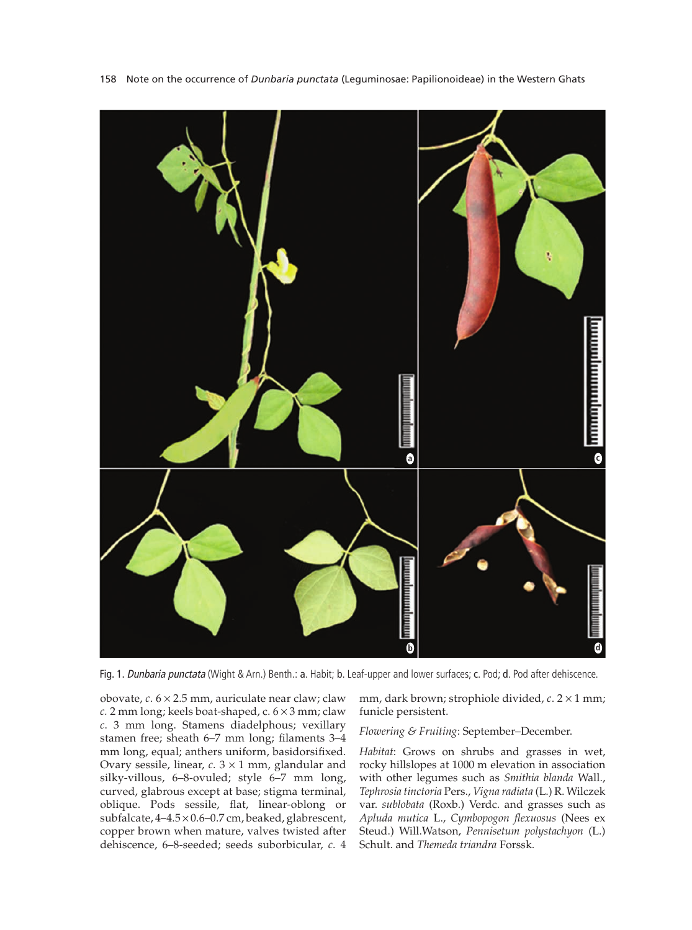

158 Note on the occurrence of *Dunbaria punctata* (Leguminosae: Papilionoideae) in the Western Ghats

Fig. 1. Dunbaria punctata (Wight & Arn.) Benth.: a. Habit; b. Leaf-upper and lower surfaces; c. Pod; d. Pod after dehiscence.

obovate, *c*. 6 × 2.5 mm, auriculate near claw; claw *c.* 2 mm long; keels boat-shaped, c. 6 × 3 mm; claw *c*. 3 mm long. Stamens diadelphous; vexillary stamen free; sheath 6–7 mm long; filaments 3–4 mm long, equal; anthers uniform, basidorsifixed. Ovary sessile, linear, *c*. 3 × 1 mm, glandular and silky-villous, 6–8-ovuled; style 6–7 mm long, curved, glabrous except at base; stigma terminal, oblique. Pods sessile, flat, linear-oblong or subfalcate, 4–4.5 × 0.6–0.7 cm, beaked, glabrescent, copper brown when mature, valves twisted after dehiscence, 6–8-seeded; seeds suborbicular, *c*. 4 mm, dark brown; strophiole divided, *c*. 2 × 1 mm; funicle persistent.

*Flowering & Fruiting*: September–December.

*Habitat*: Grows on shrubs and grasses in wet, rocky hillslopes at 1000 m elevation in association with other legumes such as *Smithia blanda* Wall., *Tephrosia tinctoria* Pers., *Vigna radiata* (L.) R. Wilczek var. *sublobata* (Roxb.) Verdc. and grasses such as *Apluda mutica* L., *Cymbopogon flexuosus* (Nees ex Steud.) Will.Watson, *Pennisetum polystachyon* (L.) Schult. and *Themeda triandra* Forssk.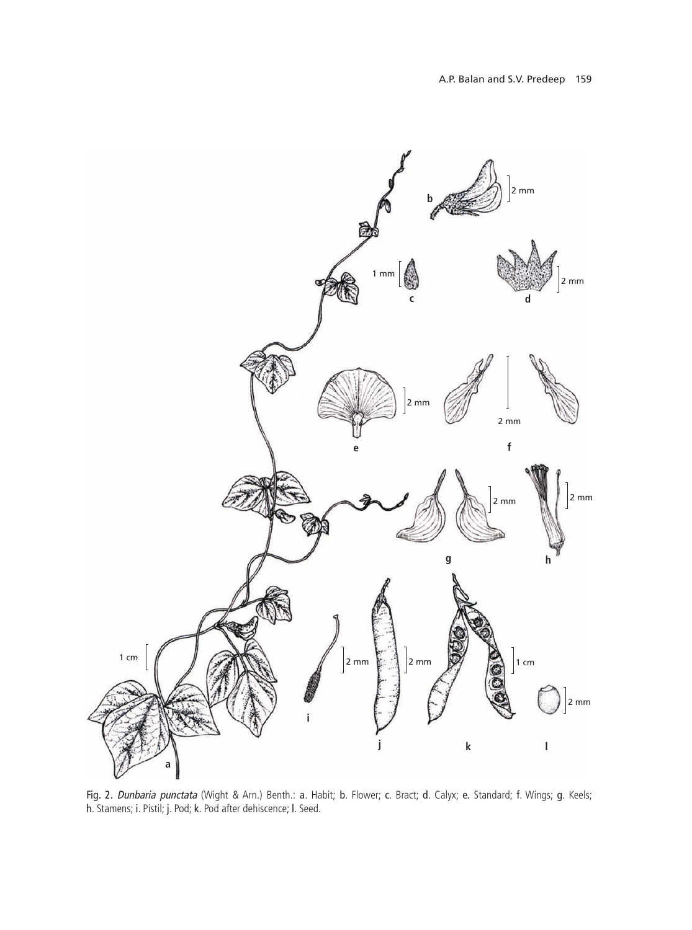

Fig. 2. Dunbaria punctata (Wight & Arn.) Benth.: a. Habit; b. Flower; c. Bract; d. Calyx; e. Standard; f. Wings; g. Keels; h. Stamens; i. Pistil; j. Pod; k. Pod after dehiscence; l. Seed.